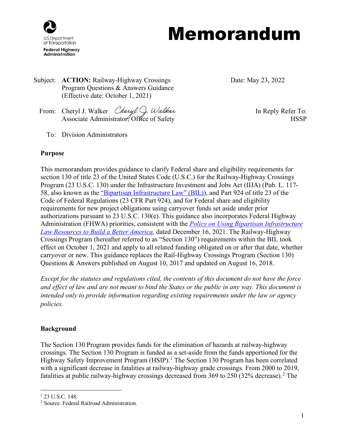

Subject: **ACTION:** Railway-Highway Crossings Program Questions & Answers Guidance (Effective date: October 1, 2021)

Date: May 23, 2022

- From: Cheryl J. Walker *Cheryl J. Walker* **In Reply Refer To:** Associate Administrator, Office of Safety example of Safety HSSP
	- To: Division Administrators

# **Purpose**

This memorandum provides guidance to clarify Federal share and eligibility requirements for section 130 of title 23 of the United States Code (U.S.C.) for the Railway-Highway Crossings Program (23 U.S.C. 130) under the Infrastructure Investment and Jobs Act (IIJA) (Pub. L. 117- 58, also known as the ["Bipartisan Infrastructure Law" \(BIL\)\)](https://www.congress.gov/117/bills/hr3684/BILLS-117hr3684enr.pdf), and Part 924 of title 23 of the Code of Federal Regulations (23 CFR Part 924), and for Federal share and eligibility requirements for new project obligations using carryover funds set aside under prior authorizations pursuant to 23 U.S.C. 130(e). This guidance also incorporates Federal Highway Administration (FHWA) priorities, consistent with the *[Policy on Using Bipartisan Infrastructure](https://www.fhwa.dot.gov/bipartisan-infrastructure-law/building_a_better_america-policy_framework.cfm)  [Law Resources to Build a Better America,](https://www.fhwa.dot.gov/bipartisan-infrastructure-law/building_a_better_america-policy_framework.cfm)* dated December 16, 2021. The Railway-Highway Crossings Program (hereafter referred to as "Section 130") requirements within the BIL took effect on October 1, 2021 and apply to all related funding obligated on or after that date, whether carryover or new. This guidance replaces the Rail-Highway Crossings Program (Section 130) Questions & Answers published on August 10, 2017 and updated on August 16, 2018.

*Except for the statutes and regulations cited, the contents of this document do not have the force and effect of law and are not meant to bind the States or the public in any way. This document is intended only to provide information regarding existing requirements under the law or agency policies.*

# **Background**

The Section 130 Program provides funds for the elimination of hazards at railway-highway crossings. The Section 130 Program is funded as a set-aside from the funds apportioned for the Highway Safety Improvement Program (HSIP).<sup>[1](#page-0-0)</sup> The Section 130 Program has been correlated with a significant decrease in fatalities at railway-highway grade crossings. From 2000 to 2019, fatalities at public railway-highway crossings decreased from 369 to [2](#page-0-1)50 (32% decrease).<sup>2</sup> The

<span id="page-0-0"></span><sup>&</sup>lt;sup>1</sup> 23 U.S.C. 148.

<span id="page-0-1"></span><sup>2</sup> Source: Federal Railroad Administration.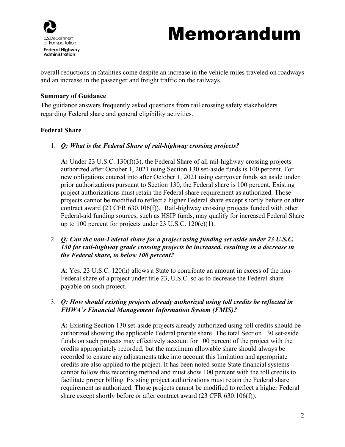

overall reductions in fatalities come despite an increase in the vehicle miles traveled on roadways and an increase in the passenger and freight traffic on the railways.

#### **Summary of Guidance**

The guidance answers frequently asked questions from rail crossing safety stakeholders regarding Federal share and general eligibility activities.

## **Federal Share**

1. *Q: What is the Federal Share of rail-highway crossing projects?*

**A:** Under 23 U.S.C. 130(f)(3), the Federal Share of all rail-highway crossing projects authorized after October 1, 2021 using Section 130 set-aside funds is 100 percent. For new obligations entered into after October 1, 2021 using carryover funds set aside under prior authorizations pursuant to Section 130, the Federal share is 100 percent. Existing project authorizations must retain the Federal share requirement as authorized. Those projects cannot be modified to reflect a higher Federal share except shortly before or after contract award (23 CFR 630.106(f)). Rail-highway crossing projects funded with other Federal-aid funding sources, such as HSIP funds, may qualify for increased Federal Share up to 100 percent for projects under 23 U.S.C.  $120(c)(1)$ .

# 2. *Q: Can the non-Federal share for a project using funding set aside under 23 U.S.C. 130 for rail-highway grade crossing projects be increased, resulting in a decrease in the Federal share, to below 100 percent?*

**A**: Yes. 23 U.S.C. 120(h) allows a State to contribute an amount in excess of the non-Federal share of a project under title 23, U.S.C. so as to decrease the Federal share payable on such project.

# 3. *Q: How should existing projects already authorized using toll credits be reflected in FHWA's Financial Management Information System (FMIS)?*

**A:** Existing Section 130 set-aside projects already authorized using toll credits should be authorized showing the applicable Federal prorate share. The total Section 130 set-aside funds on such projects may effectively account for 100 percent of the project with the credits appropriately recorded, but the maximum allowable share should always be recorded to ensure any adjustments take into account this limitation and appropriate credits are also applied to the project. It has been noted some State financial systems cannot follow this recording method and must show 100 percent with the toll credits to facilitate proper billing. Existing project authorizations must retain the Federal share requirement as authorized. Those projects cannot be modified to reflect a higher Federal share except shortly before or after contract award (23 CFR 630.106(f)).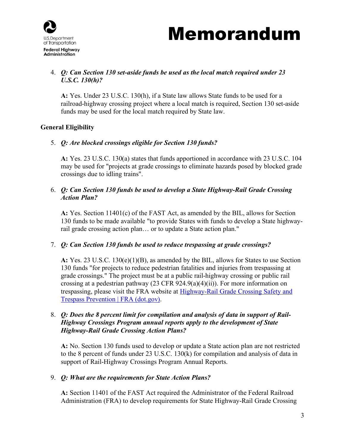

# 4. *Q: Can Section 130 set-aside funds be used as the local match required under 23 U.S.C. 130(h)?*

**A:** Yes. Under 23 U.S.C. 130(h), if a State law allows State funds to be used for a railroad-highway crossing project where a local match is required, Section 130 set-aside funds may be used for the local match required by State law.

# **General Eligibility**

## 5. *Q: Are blocked crossings eligible for Section 130 funds?*

**A:** Yes. 23 U.S.C. 130(a) states that funds apportioned in accordance with 23 U.S.C. 104 may be used for "projects at grade crossings to eliminate hazards posed by blocked grade crossings due to idling trains".

## 6. *Q: Can Section 130 funds be used to develop a State Highway-Rail Grade Crossing Action Plan?*

**A:** Yes. Section 11401(c) of the FAST Act, as amended by the BIL, allows for Section 130 funds to be made available "to provide States with funds to develop a State highwayrail grade crossing action plan… or to update a State action plan."

## 7. *Q: Can Section 130 funds be used to reduce trespassing at grade crossings?*

**A:** Yes. 23 U.S.C. 130(e)(1)(B), as amended by the BIL, allows for States to use Section 130 funds "for projects to reduce pedestrian fatalities and injuries from trespassing at grade crossings." The project must be at a public rail-highway crossing or public rail crossing at a pedestrian pathway  $(23 \text{ CFR } 924.9(a)(4)(ii))$ . For more information on trespassing, please visit the FRA website at [Highway-Rail Grade Crossing Safety and](https://railroads.dot.gov/highway-rail-crossing-and-trespasser-programs/railroad-crossing-safety-trespass)  [Trespass Prevention | FRA \(dot.gov\).](https://railroads.dot.gov/highway-rail-crossing-and-trespasser-programs/railroad-crossing-safety-trespass)

## 8. *Q: Does the 8 percent limit for compilation and analysis of data in support of Rail-Highway Crossings Program annual reports apply to the development of State Highway-Rail Grade Crossing Action Plans?*

**A:** No. Section 130 funds used to develop or update a State action plan are not restricted to the 8 percent of funds under 23 U.S.C. 130(k) for compilation and analysis of data in support of Rail-Highway Crossings Program Annual Reports.

## 9. *Q: What are the requirements for State Action Plans?*

**A:** Section 11401 of the FAST Act required the Administrator of the Federal Railroad Administration (FRA) to develop requirements for State Highway-Rail Grade Crossing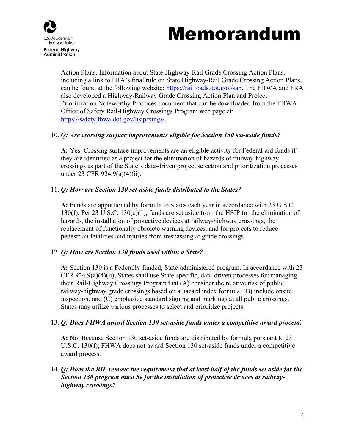



Action Plans. Information about State Highway-Rail Grade Crossing Action Plans, including a link to FRA's final rule on State Highway-Rail Grade Crossing Action Plans, can be found at the following website: [https://railroads.dot.gov/sap.](https://railroads.dot.gov/sap) The FHWA and FRA also developed a Highway-Railway Grade Crossing Action Plan and Project Prioritization Noteworthy Practices document that can be downloaded from the FHWA Office of Safety Rail-Highway Crossings Program web page at: [https://safety.fhwa.dot.gov/hsip/xings/.](https://safety.fhwa.dot.gov/hsip/xings/)

#### 10. *Q: Are crossing surface improvements eligible for Section 130 set-aside funds?*

**A:** Yes. Crossing surface improvements are an eligible activity for Federal-aid funds if they are identified as a project for the elimination of hazards of railway-highway crossings as part of the State's data-driven project selection and prioritization processes under 23 CFR 924.9(a)(4)(ii).

#### 11. *Q: How are Section 130 set-aside funds distributed to the States?*

**A:** Funds are apportioned by formula to States each year in accordance with 23 U.S.C. 130(f). Per 23 U.S.C. 130(e)(1), funds are set aside from the HSIP for the elimination of hazards, the installation of protective devices at railway-highway crossings, the replacement of functionally obsolete warning devices, and for projects to reduce pedestrian fatalities and injuries from trespassing at grade crossings.

#### 12. *Q: How are Section 130 funds used within a State?*

**A:** Section 130 is a Federally-funded, State-administered program. In accordance with 23 CFR  $924.9(a)(4)(ii)$ , States shall use State-specific, data-driven processes for managing their Rail-Highway Crossings Program that (A) consider the relative risk of public railway-highway grade crossings based on a hazard index formula, (B) include onsite inspection, and (C) emphasize standard signing and markings at all public crossings. States may utilize various processes to select and prioritize projects.

#### 13. *Q: Does FHWA award Section 130 set-aside funds under a competitive award process?*

**A:** No. Because Section 130 set-aside funds are distributed by formula pursuant to 23 U.S.C. 130(f), FHWA does not award Section 130 set-aside funds under a competitive award process.

## 14. *Q: Does the BIL remove the requirement that at least half of the funds set aside for the Section 130 program must be for the installation of protective devices at railwayhighway crossings?*